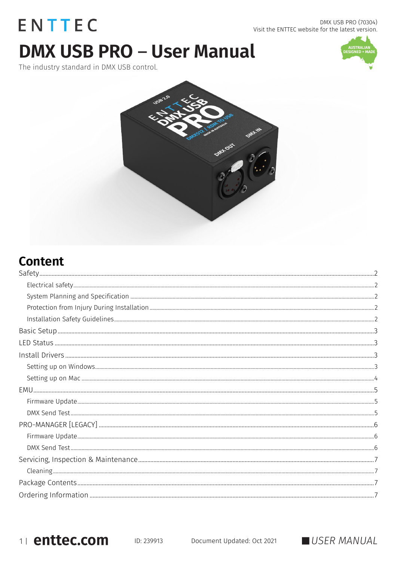# ENTTEC **DMX USB PRO - User Manual**

The industry standard in DMX USB control.







# **Content**

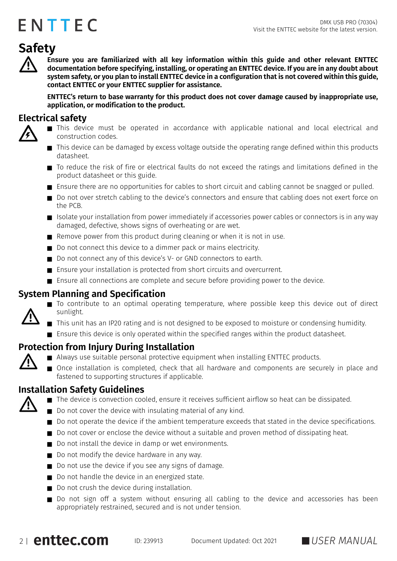# <span id="page-1-0"></span>**Safety**

**Ensure you are familiarized with all key information within this guide and other relevant ENTTEC documentation before specifying, installing, or operating an ENTTEC device. If you are in any doubt about system safety, or you plan to install ENTTEC device in a configuration that is not covered within this guide, contact ENTTEC or your ENTTEC supplier for assistance.** 

**ENTTEC's return to base warranty for this product does not cover damage caused by inappropriate use, application, or modification to the product.**

#### <span id="page-1-1"></span>**Electrical safety**



- This device must be operated in accordance with applicable national and local electrical and construction codes.
- This device can be damaged by excess voltage outside the operating range defined within this products datasheet.
- To reduce the risk of fire or electrical faults do not exceed the ratings and limitations defined in the product datasheet or this guide.
- Ensure there are no opportunities for cables to short circuit and cabling cannot be snagged or pulled.
- Do not over stretch cabling to the device's connectors and ensure that cabling does not exert force on the PCB.
- $\blacksquare$  Isolate your installation from power immediately if accessories power cables or connectors is in any way damaged, defective, shows signs of overheating or are wet.
- Remove power from this product during cleaning or when it is not in use.
- Do not connect this device to a dimmer pack or mains electricity.
- Do not connect any of this device's V- or GND connectors to earth.
- Ensure your installation is protected from short circuits and overcurrent.
- Ensure all connections are complete and secure before providing power to the device.

#### <span id="page-1-2"></span>**System Planning and Specification**

- To contribute to an optimal operating temperature, where possible keep this device out of direct sunlight.
- This unit has an IP20 rating and is not designed to be exposed to moisture or condensing humidity.
- **E** Ensure this device is only operated within the specified ranges within the product datasheet.

#### <span id="page-1-3"></span>**Protection from Injury During Installation**

- Always use suitable personal protective equipment when installing ENTTEC products.
	- Once installation is completed, check that all hardware and components are securely in place and fastened to supporting structures if applicable.

#### <span id="page-1-4"></span>**Installation Safety Guidelines**



- The device is convection cooled, ensure it receives sufficient airflow so heat can be dissipated.
- Do not cover the device with insulating material of any kind.
- Do not operate the device if the ambient temperature exceeds that stated in the device specifications.
- Do not cover or enclose the device without a suitable and proven method of dissipating heat.
- $\blacksquare$  Do not install the device in damp or wet environments.
- Do not modify the device hardware in any way.
- Do not use the device if you see any signs of damage.
- Do not handle the device in an energized state.
- Do not crush the device during installation.
- Do not sign off a system without ensuring all cabling to the device and accessories has been appropriately restrained, secured and is not under tension.



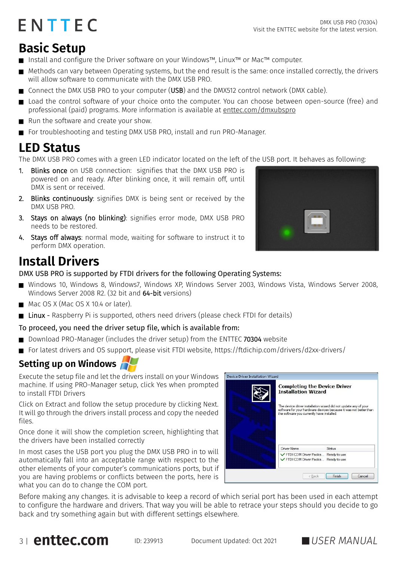## <span id="page-2-0"></span>**Basic Setup**

- Install and configure the Driver software on your Windows™, Linux™ or Mac™ computer.
- Methods can vary between Operating systems, but the end result is the same: once installed correctly, the drivers will allow software to communicate with the DMX USB PRO.
- Connect the DMX USB PRO to your computer (USB) and the DMX512 control network (DMX cable).
- Load the control software of your choice onto the computer. You can choose between open-source (free) and professional (paid) programs. More information is available at [enttec.com/dmxubspro](http://www.enttec.com/dmxubspro)
- Run the software and create your show.
- For troubleshooting and testing DMX USB PRO, install and run PRO-Manager.

## <span id="page-2-1"></span>**LED Status**

The DMX USB PRO comes with a green LED indicator located on the left of the USB port. It behaves as following:

- 1. Blinks once on USB connection: signifies that the DMX USB PRO is powered on and ready. After blinking once, it will remain off, until DMX is sent or received.
- 2. Blinks continuously: signifies DMX is being sent or received by the DMX USB PRO.
- 3. Stays on always (no blinking): signifies error mode, DMX USB PRO needs to be restored.
- 4. Stays off always: normal mode, waiting for software to instruct it to perform DMX operation.

## <span id="page-2-2"></span>**Install Drivers**

DMX USB PRO is supported by FTDI drivers for the following Operating Systems:

- Windows 10, Windows 8, Windows7, Windows XP, Windows Server 2003, Windows Vista, Windows Server 2008, Windows Server 2008 R2. (32 bit and 64-bit versions)
- Mac OS X (Mac OS X 10.4 or later).
- Linux Raspberry Pi is supported, others need drivers (please check FTDI for details)

#### To proceed, you need the driver setup file, which is available from:

- Download PRO-Manager (includes the driver setup) from the ENTTEC 70304 website
- For latest drivers and OS support, please visit FTDI website, https://ftdichip.com/drivers/d2xx-drivers/

## <span id="page-2-3"></span>**Setting up on Windows**

Execute the setup file and let the drivers install on your Windows machine. If using PRO-Manager setup, click Yes when prompted to install FTDI Drivers

Click on Extract and follow the setup procedure by clicking Next. It will go through the drivers install process and copy the needed files.

Once done it will show the completion screen, highlighting that the drivers have been installed correctly

In most cases the USB port you plug the DMX USB PRO in to will automatically fall into an acceptable range with respect to the other elements of your computer's communications ports, but if you are having problems or conflicts between the ports, here is what you can do to change the COM port.



Before making any changes. it is advisable to keep a record of which serial port has been used in each attempt to configure the hardware and drivers. That way you will be able to retrace your steps should you decide to go back and try something again but with different settings elsewhere.





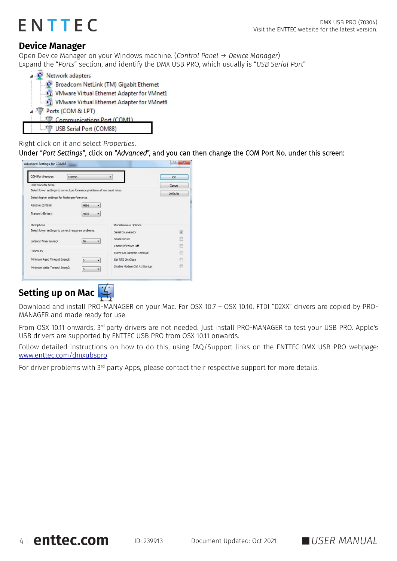## **Device Manager**

Open Device Manager on your Windows machine. (*Control Panel* → *Device Manager*) Expand the "*Ports*" section, and identify the DMX USB PRO, which usually is "*USB Serial Port*"

| Network adapters                           |  |  |  |  |  |  |
|--------------------------------------------|--|--|--|--|--|--|
| Broadcom NetLink (TM) Gigabit Ethernet     |  |  |  |  |  |  |
| VMware Virtual Ethernet Adapter for VMnet1 |  |  |  |  |  |  |
| VMware Virtual Ethernet Adapter for VMnet8 |  |  |  |  |  |  |
| Ports (COM & LPT)                          |  |  |  |  |  |  |
| Communications Port (COM1)                 |  |  |  |  |  |  |
| USB Serial Port (COM88)                    |  |  |  |  |  |  |

#### Right click on it and select *Properties*.

Under "*Port Settings"*, click on "*Advanced*", and you can then change the COM Port No. under this screen:

| COM Port Number:<br>COM88                                                |           |                               | <b>OK</b>               |
|--------------------------------------------------------------------------|-----------|-------------------------------|-------------------------|
| <b>LISR Transfer Sizes</b>                                               |           |                               | Cancel                  |
| Select lower settings to correct performance problems at low baud rates. |           |                               | <b>Defaults</b>         |
| Select higher settings for faster performance.                           |           |                               |                         |
| Receive (Bytes):                                                         | 4096<br>- |                               |                         |
| Transmit (Bytes):                                                        | 4096      |                               |                         |
| <b>BM Options</b>                                                        |           | Miscellaneous Options         |                         |
| Select lower settings to correct response problems.                      |           | Serial Enumerator             | $\overline{\mathbf{v}}$ |
| Latency Timer (msec):                                                    | 16        | Serial Printer                | E                       |
|                                                                          |           | Cancel If Power Off           | 豜                       |
| Timeouts                                                                 |           | Event On Surprise Removal     |                         |
| Minimum Read Timeout (msec):                                             | <b>a</b>  | Set RTS On Close              | ger.                    |
| Minimum Write Timeout (msec):                                            |           | Disable Modem Ctrl At Startup | F                       |

## <span id="page-3-0"></span>**Setting up on Mac**

Download and install PRO-MANAGER on your Mac. For OSX 10.7 – OSX 10.10, FTDI "D2XX" drivers are copied by PRO-MANAGER and made ready for use.

From OSX 10.11 onwards, 3<sup>rd</sup> party drivers are not needed. Just install PRO-MANAGER to test your USB PRO. Apple's USB drivers are supported by ENTTEC USB PRO from OSX 10.11 onwards.

Follow detailed instructions on how to do this, using FAQ/Support links on the ENTTEC DMX USB PRO webpage: [www.enttec.com/dmxubspro](http://www.enttec.com/dmxubspro)

For driver problems with 3rd party Apps, please contact their respective support for more details.

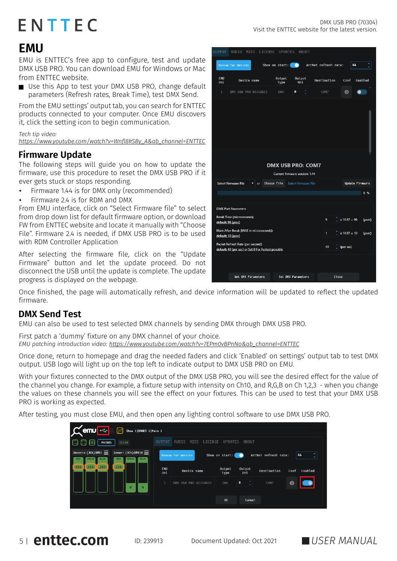## <span id="page-4-0"></span>**EMU**

EMU is ENTTEC's free app to configure, test and update DMX USB PRO. You can download EMU for Windows or Mac from ENTTEC website.

■ Use this App to test your DMX USB PRO, change default parameters (Refresh rates, Break Time), test DMX Send.

From the EMU settings' output tab, you can search for ENTTEC products connected to your computer. Once EMU discovers it, click the setting icon to begin communication.

*Tech tip video: [https://www.youtube.com/watch?v=Wnfl8kSBy\\_A&ab\\_channel=ENTTEC](https://www.youtube.com/watch?v=Wnfl8kSBy_A&ab_channel=ENTTEC)*

#### <span id="page-4-1"></span>**Firmware Update**

The following steps will guide you on how to update the firmware, use this procedure to reset the DMX USB PRO if it ever gets stuck or stops responding.

- Firmware 1.44 is for DMX only (recommended)
- Firmware 2.4 is for RDM and DMX

From EMU interface, click on "Select Firmware file" to select from drop down list for default firmware option, or download FW from ENTTEC website and locate it manually with "Choose File". Firmware 2.4 is needed, if DMX USB PRO is to be used with RDM Controller Application

After selecting the firmware file, click on the "Update Firmware" button and let the update proceed. Do not disconnect the USB until the update is complete. The update progress is displayed on the webpage.

Once finished, the page will automatically refresh, and device information will be updated to reflect the updated firmware.

### <span id="page-4-2"></span>**DMX Send Test**

EMU can also be used to test selected DMX channels by sending DMX through DMX USB PRO.

First patch a 'dummy' fixture on any DMX channel of your choice. *EMU patching introduction video: https://www.youtube.com/watch?v=7EPm0vBPnNo&ab\_channel=ENTTEC*

Once done, return to homepage and drag the needed faders and click 'Enabled' on settings' output tab to test DMX output. USB logo will light up on the top left to indicate output to DMX USB PRO on EMU.

With your fixtures connected to the DMX output of the DMX USB PRO, you will see the desired effect for the value of the channel you change. For example, a fixture setup with intensity on Ch10, and R,G,B on Ch 1,2,3 - when you change the values on these channels you will see the effect on your fixtures. This can be used to test that your DMX USB PRO is working as expected.

After testing, you must close EMU, and then open any lighting control software to use DMX USB PRO.

| $\mathbf{C}$ enu $\mathbf{C}$<br>Show 1 BANKS 1 Main 1                                                                                               |               |                      |                |                       |                      |      |         |
|------------------------------------------------------------------------------------------------------------------------------------------------------|---------------|----------------------|----------------|-----------------------|----------------------|------|---------|
| <b>MACROS</b><br><b>CLEAR</b>                                                                                                                        | <b>OUTPUT</b> | AUDIO<br>LICENSE     | <b>UPDATES</b> | ABOUT                 |                      |      |         |
| Generic (3Ch) DMX1 $\equiv$<br>Generi (3Ch) DMX10 $\equiv$<br><b>BLUE</b><br><b>RED</b><br><b>GREEN</b><br><b>GREEN</b><br><b>BLUE</b><br><b>RED</b> |               | Rescan for devices   | Show on start: |                       | ArtNet refresh rate: |      | 44<br>÷ |
| $255$<br>255<br>255<br>255                                                                                                                           | EMU<br>Uni    | Device name          | Output<br>Type | Output<br>Uni         | Destination          | Conf | Enabled |
| $\Omega$                                                                                                                                             | $\mathbf{1}$  | DMX USB PRO 02318623 | <b>DMX</b>     | $\boldsymbol{\theta}$ | COM7                 | €    |         |
|                                                                                                                                                      |               |                      | <b>OK</b>      | Cancel                |                      |      |         |

| UUIPUI                                                  | HUDIO MIDI LILENSE OPDHIES                          |    |                  | HROO I                         |  |                      |                              |                 |
|---------------------------------------------------------|-----------------------------------------------------|----|------------------|--------------------------------|--|----------------------|------------------------------|-----------------|
|                                                         | Rescan for devices                                  |    | Show on start: ( |                                |  | ArtNet refresh rate: |                              | 44<br>÷         |
| <b>EMU</b><br>Uni                                       | Device name                                         |    | Output<br>Type   | Output<br>Uni                  |  | Destination          | Conf                         | Enabled         |
| $\mathbf{1}$                                            | DMX USB PRO 02318623                                |    | <b>DMX</b>       | $\bullet$                      |  | COM7                 | ۞                            |                 |
|                                                         |                                                     |    |                  |                                |  |                      |                              |                 |
|                                                         |                                                     |    |                  |                                |  |                      |                              |                 |
|                                                         |                                                     |    |                  |                                |  |                      |                              |                 |
|                                                         |                                                     |    |                  |                                |  |                      |                              |                 |
|                                                         |                                                     |    |                  |                                |  |                      |                              |                 |
| <b>DMX USB PRO: COM7</b>                                |                                                     |    |                  |                                |  |                      |                              |                 |
|                                                         |                                                     |    |                  |                                |  |                      |                              |                 |
|                                                         |                                                     |    |                  | Current firmware version: 1.44 |  |                      |                              |                 |
|                                                         | <b>Select Firmware File</b>                         | or | Choose file      | <b>Select Firmware File</b>    |  |                      |                              | Update Firmware |
|                                                         |                                                     |    |                  |                                |  |                      |                              | 0%              |
|                                                         | <b>DMX Port Parameters</b>                          |    |                  |                                |  |                      |                              |                 |
|                                                         |                                                     |    |                  |                                |  |                      |                              |                 |
| <b>Break Time (microseconds)</b><br>default: 96 (usec)  |                                                     |    |                  |                                |  | 9                    | $x 10.67 = 96$               | (usec)          |
| Mark After Break (MAB in microseconds):                 |                                                     |    |                  |                                |  | 1                    | $x 10.67 = 10$               | (usec)          |
| default: 10 (usec)<br>Packet Refresh Rate (per second): |                                                     |    |                  |                                |  |                      |                              |                 |
|                                                         | default: 40 (per sec) or Set 0 For Fastest possible |    |                  |                                |  | 40                   | $\hat{\mathbb{C}}$ (per sec) |                 |
|                                                         |                                                     |    |                  |                                |  |                      |                              |                 |
|                                                         |                                                     |    |                  |                                |  |                      |                              |                 |
|                                                         | Get DMX Parameters                                  |    |                  | Set DMX Parameters             |  |                      | Close                        |                 |

5 <sup>|</sup> ID: 239913 Document Updated: Oct <sup>2021</sup> *USER MANUAL*

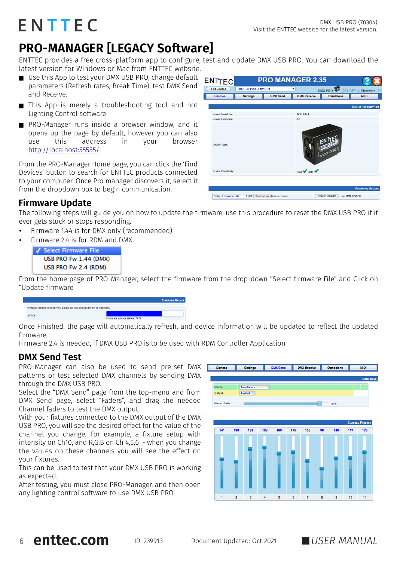## <span id="page-5-0"></span>**PRO-MANAGER [LEGACY Software]**

ENTTEC provides a free cross-platform app to configure, test and update DMX USB PRO. You can download the latest version for Windows or Mac from ENTTEC website.

- Use this App to test your DMX USB PRO, change default  $\mathbf{F}$ parameters (Refresh rates, Break Time), test DMX Send and Receive.
- This App is merely a troubleshooting tool and not Lighting Control software
- **PRO-Manager runs inside a browser window, and it** opens up the page by default, however you can also use this address in your browser <http://localhost:55555/>

From the PRO-Manager Home page, you can click the 'Find Devices' button to search for ENTTEC products connected to your computer. Once Pro manager discovers it, select it from the dropdown box to begin communication.

|                                                  | DMX USB PRO . EN110374 |                 | ۷                  | DMX PRO (02110374) / Firmware: 2.4 |                           |
|--------------------------------------------------|------------------------|-----------------|--------------------|------------------------------------|---------------------------|
| <b>Devices</b>                                   | <b>Settings</b>        | <b>DMX</b> Send | <b>DMX Receive</b> | Standalone                         | <b>MIDI</b>               |
|                                                  |                        |                 |                    |                                    | <b>DEVICE INFORMATION</b> |
| Device Serial No:                                |                        |                 | 02110374           |                                    |                           |
| Device Firmware:                                 |                        |                 | 24                 |                                    |                           |
| <b>Device Type:</b><br><b>Device Capability:</b> |                        |                 | DMX PRDM           | <b>EMANISTIC</b><br>CERE IS        |                           |
|                                                  |                        |                 |                    |                                    |                           |

### <span id="page-5-1"></span>**Firmware Update**

The following steps will guide you on how to update the firmware, use this procedure to reset the DMX USB PRO if it ever gets stuck or stops responding.

- Firmware 1.44 is for DMX only (recommended)
- Firmware 2.4 is for RDM and DMX



From the home page of PRO-Manager, select the firmware from the drop-down "Select firmware File" and Click on "Update firmware"

|                                                                        | <b>FIRMWARE UPDATE</b>       |
|------------------------------------------------------------------------|------------------------------|
|                                                                        |                              |
| Firmware update in progress, please do not unplug device or interrupt. |                              |
|                                                                        |                              |
| Jpdate:                                                                |                              |
|                                                                        |                              |
|                                                                        | Firmware update status: 72 % |

Once Finished, the page will automatically refresh, and device information will be updated to reflect the updated firmware.

Firmware 2.4 is needed, if DMX USB PRO is to be used with RDM Controller Application

### <span id="page-5-2"></span>**DMX Send Test**

PRO-Manager can also be used to send pre-set DMX  $\Gamma$ patterns or test selected DMX channels by sending DMX through the DMX USB PRO.

Select the "DMX Send" page from the top-menu and from DMX Send page, select "Faders", and drag the needed Channel faders to test the DMX output.

With your fixtures connected to the DMX output of the DMX USB PRO, you will see the desired effect for the value of the channel you change. For example, a fixture setup with intensity on Ch10, and R,G,B on Ch 4,5,6 - when you change the values on these channels you will see the effect on your fixtures.

This can be used to test that your DMX USB PRO is working as expected.

After testing, you must close PRO-Manager, and then open any lighting control software to use DMX USB PRO.

| <b>Devices</b>       |     | <b>Settings</b>       |                      | <b>DMX Send</b> |     | <b>DMX Receive</b> |    | <b>Standalone</b> |     | <b>MIDI</b>            |
|----------------------|-----|-----------------------|----------------------|-----------------|-----|--------------------|----|-------------------|-----|------------------------|
|                      |     |                       |                      |                 |     |                    |    |                   |     | <b>DMX SEND:</b>       |
| Source:              |     | <b>From Faders</b>    | $\overline{\bullet}$ |                 |     |                    |    |                   |     |                        |
| Output:              |     | Enabled $\Rightarrow$ |                      |                 |     |                    |    |                   |     |                        |
|                      |     |                       |                      |                 |     |                    |    |                   |     |                        |
| <b>Master Fader:</b> |     |                       |                      |                 |     |                    |    | 91%               |     |                        |
|                      |     |                       |                      |                 |     |                    |    |                   |     |                        |
|                      |     |                       |                      |                 |     |                    |    |                   |     | <b>CHANNEL FADERS:</b> |
| 141                  | 130 | 191                   | 198                  | 169             | 175 | 133                | 96 | 146               | 147 | 175                    |
|                      |     |                       |                      |                 |     |                    |    |                   |     |                        |
|                      |     |                       |                      |                 |     |                    |    |                   |     |                        |
|                      |     |                       |                      |                 |     |                    |    |                   |     |                        |
|                      |     |                       |                      |                 |     |                    |    |                   |     |                        |
|                      |     |                       |                      |                 |     |                    |    |                   |     |                        |
|                      |     |                       |                      |                 |     |                    |    |                   |     |                        |
|                      |     |                       |                      |                 |     |                    |    |                   |     |                        |
|                      |     |                       |                      |                 |     |                    |    |                   |     |                        |
|                      |     |                       |                      |                 |     |                    |    |                   |     |                        |